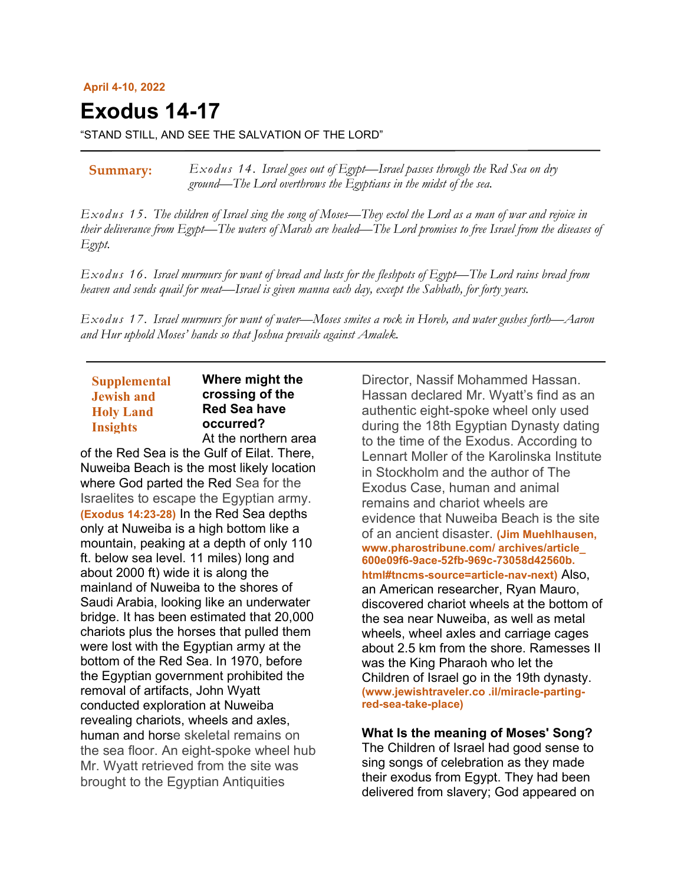#### **April 4-10, 2022**

**Exodus 14-17** 

"STAND STILL, AND SEE THE SALVATION OF THE LORD"

*Exodus 14. Israel goes out of Egypt—Israel passes through the Red Sea on dry ground—The Lord overthrows the Egyptians in the midst of the sea.* **Summary:**

*Exodus 15. The children of Israel sing the song of Moses—They extol the Lord as a man of war and rejoice in their deliverance from Egypt—The waters of Marah are healed—The Lord promises to free Israel from the diseases of Egypt.*

*Exodus 16. Israel murmurs for want of bread and lusts for the fleshpots of Egypt—The Lord rains bread from heaven and sends quail for meat—Israel is given manna each day, except the Sabbath, for forty years.*

*Exodus 17. Israel murmurs for want of water—Moses smites a rock in Horeb, and water gushes forth—Aaron and Hur uphold Moses' hands so that Joshua prevails against Amalek.*

## **Supplemental Jewish and Holy Land Insights**

**Where might the crossing of the Red Sea have occurred?** At the northern area

of the Red Sea is the Gulf of Eilat. There, Nuweiba Beach is the most likely location where God parted the Red Sea for the Israelites to escape the Egyptian army. **(Exodus 14:23-28)** In the Red Sea depths only at Nuweiba is a high bottom like a mountain, peaking at a depth of only 110 ft. below sea level. 11 miles) long and about 2000 ft) wide it is along the mainland of Nuweiba to the shores of Saudi Arabia, looking like an underwater bridge. It has been estimated that 20,000 chariots plus the horses that pulled them were lost with the Egyptian army at the bottom of the Red Sea. In 1970, before the Egyptian government prohibited the removal of artifacts, John Wyatt conducted exploration at Nuweiba revealing chariots, wheels and axles, human and horse skeletal remains on the sea floor. An eight-spoke wheel hub Mr. Wyatt retrieved from the site was brought to the Egyptian Antiquities

Director, Nassif Mohammed Hassan. Hassan declared Mr. Wyatt's find as an authentic eight-spoke wheel only used during the 18th Egyptian Dynasty dating to the time of the Exodus. According to Lennart Moller of the Karolinska Institute in Stockholm and the author of The Exodus Case, human and animal remains and chariot wheels are evidence that Nuweiba Beach is the site of an ancient disaster. **(Jim Muehlhausen, www.pharostribune.com/ archives/article\_ 600e09f6-9ace-52fb-969c-73058d42560b. html#tncms-source=article-nav-next)** Also, an American researcher, Ryan Mauro, discovered chariot wheels at the bottom of the sea near Nuweiba, as well as metal wheels, wheel axles and carriage cages about 2.5 km from the shore. Ramesses II was the King Pharaoh who let the Children of Israel go in the 19th dynasty. **(www.jewishtraveler.co .il/miracle-partingred-sea-take-place)**

#### **What Is the meaning of Moses' Song?**

The Children of Israel had good sense to sing songs of celebration as they made their exodus from Egypt. They had been delivered from slavery; God appeared on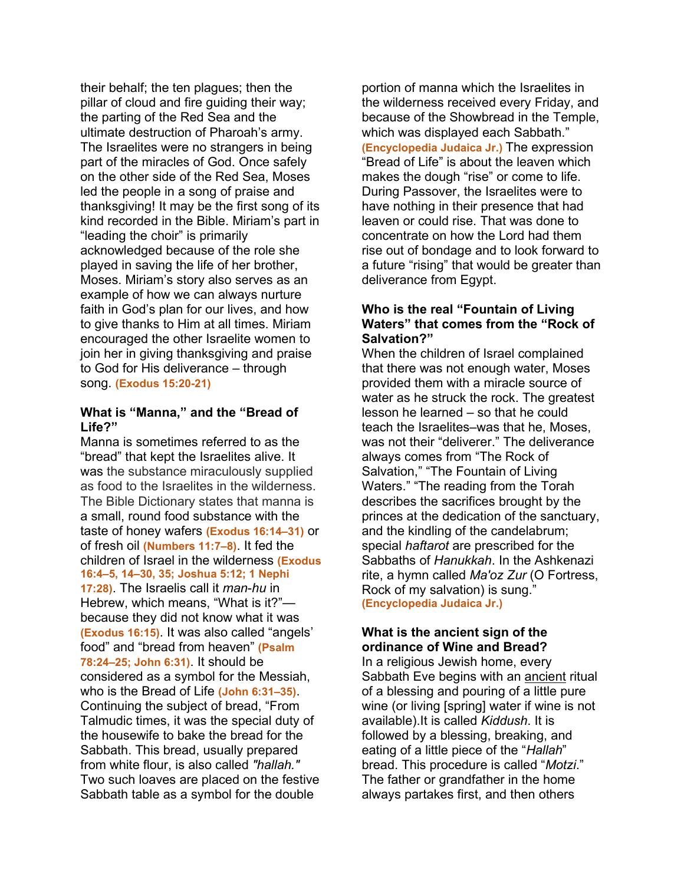their behalf; the ten plagues; then the pillar of cloud and fire guiding their way; the parting of the Red Sea and the ultimate destruction of Pharoah's army. The Israelites were no strangers in being part of the miracles of God. Once safely on the other side of the Red Sea, Moses led the people in a song of praise and thanksgiving! It may be the first song of its kind recorded in the Bible. Miriam's part in "leading the choir" is primarily acknowledged because of the role she played in saving the life of her brother, Moses. Miriam's story also serves as an example of how we can always nurture faith in God's plan for our lives, and how to give thanks to Him at all times. Miriam encouraged the other Israelite women to join her in giving thanksgiving and praise to God for His deliverance – through song. **(Exodus 15:20-21)**

#### **What is "Manna," and the "Bread of Life?"**

Manna is sometimes referred to as the "bread" that kept the Israelites alive. It was the substance miraculously supplied as food to the Israelites in the wilderness. The Bible Dictionary states that manna is a small, round food substance with the taste of honey wafers **(Exodus 16:14–31)** or of fresh oil **(Numbers 11:7–8)**. It fed the children of Israel in the wilderness **(Exodus 16:4–5, 14–30, 35; Joshua 5:12; 1 Nephi 17:28)**. The Israelis call it *man*-*hu* in Hebrew, which means, "What is it?" because they did not know what it was **(Exodus 16:15)**. It was also called "angels' food" and "bread from heaven" **(Psalm 78:24–25; John 6:31)**. It should be considered as a symbol for the Messiah, who is the Bread of Life **(John 6:31–35)**. Continuing the subject of bread, "From Talmudic times, it was the special duty of the housewife to bake the bread for the Sabbath. This bread, usually prepared from white flour, is also called *"hallah."* Two such loaves are placed on the festive Sabbath table as a symbol for the double

portion of manna which the Israelites in the wilderness received every Friday, and because of the Showbread in the Temple, which was displayed each Sabbath." **(Encyclopedia Judaica Jr.)** The expression "Bread of Life" is about the leaven which makes the dough "rise" or come to life. During Passover, the Israelites were to have nothing in their presence that had leaven or could rise. That was done to concentrate on how the Lord had them rise out of bondage and to look forward to a future "rising" that would be greater than deliverance from Egypt.

## **Who is the real "Fountain of Living Waters" that comes from the "Rock of Salvation?"**

When the children of Israel complained that there was not enough water, Moses provided them with a miracle source of water as he struck the rock. The greatest lesson he learned – so that he could teach the Israelites–was that he, Moses, was not their "deliverer." The deliverance always comes from "The Rock of Salvation," "The Fountain of Living Waters." "The reading from the Torah describes the sacrifices brought by the princes at the dedication of the sanctuary, and the kindling of the candelabrum; special *haftarot* are prescribed for the Sabbaths of *Hanukkah*. In the Ashkenazi rite, a hymn called *Ma'oz Zur* (O Fortress, Rock of my salvation) is sung." **(Encyclopedia Judaica Jr.)**

# **What is the ancient sign of the ordinance of Wine and Bread?**

In a religious Jewish home, every Sabbath Eve begins with an ancient ritual of a blessing and pouring of a little pure wine (or living [spring] water if wine is not available).It is called *Kiddush*. It is followed by a blessing, breaking, and eating of a little piece of the "*Hallah*" bread. This procedure is called "*Motzi*." The father or grandfather in the home always partakes first, and then others